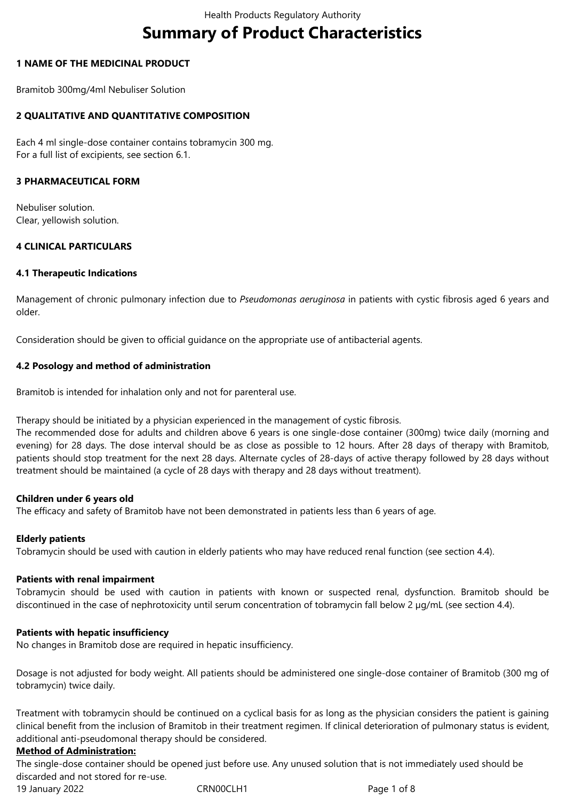# **Summary of Product Characteristics**

## **1 NAME OF THE MEDICINAL PRODUCT**

Bramitob 300mg/4ml Nebuliser Solution

## **2 QUALITATIVE AND QUANTITATIVE COMPOSITION**

Each 4 ml single-dose container contains tobramycin 300 mg. For a full list of excipients, see section 6.1.

#### **3 PHARMACEUTICAL FORM**

Nebuliser solution. Clear, yellowish solution.

#### **4 CLINICAL PARTICULARS**

#### **4.1 Therapeutic Indications**

Management of chronic pulmonary infection due to *Pseudomonas aeruginosa* in patients with cystic fibrosis aged 6 years and older.

Consideration should be given to official guidance on the appropriate use of antibacterial agents.

## **4.2 Posology and method of administration**

Bramitob is intended for inhalation only and not for parenteral use.

Therapy should be initiated by a physician experienced in the management of cystic fibrosis.

The recommended dose for adults and children above 6 years is one single-dose container (300mg) twice daily (morning and evening) for 28 days. The dose interval should be as close as possible to 12 hours. After 28 days of therapy with Bramitob, patients should stop treatment for the next 28 days. Alternate cycles of 28-days of active therapy followed by 28 days without treatment should be maintained (a cycle of 28 days with therapy and 28 days without treatment).

#### **Children under 6 years old**

The efficacy and safety of Bramitob have not been demonstrated in patients less than 6 years of age.

#### **Elderly patients**

Tobramycin should be used with caution in elderly patients who may have reduced renal function (see section 4.4).

#### **Patients with renal impairment**

Tobramycin should be used with caution in patients with known or suspected renal, dysfunction. Bramitob should be discontinued in the case of nephrotoxicity until serum concentration of tobramycin fall below 2 µg/mL (see section 4.4).

#### **Patients with hepatic insufficiency**

No changes in Bramitob dose are required in hepatic insufficiency.

Dosage is not adjusted for body weight. All patients should be administered one single-dose container of Bramitob (300 mg of tobramycin) twice daily.

Treatment with tobramycin should be continued on a cyclical basis for as long as the physician considers the patient is gaining clinical benefit from the inclusion of Bramitob in their treatment regimen. If clinical deterioration of pulmonary status is evident, additional anti-pseudomonal therapy should be considered.

#### **Method of Administration:**

The single-dose container should be opened just before use. Any unused solution that is not immediately used should be discarded and not stored for re-use.

19 January 2022 CRN00CLH1 CRNOCLH1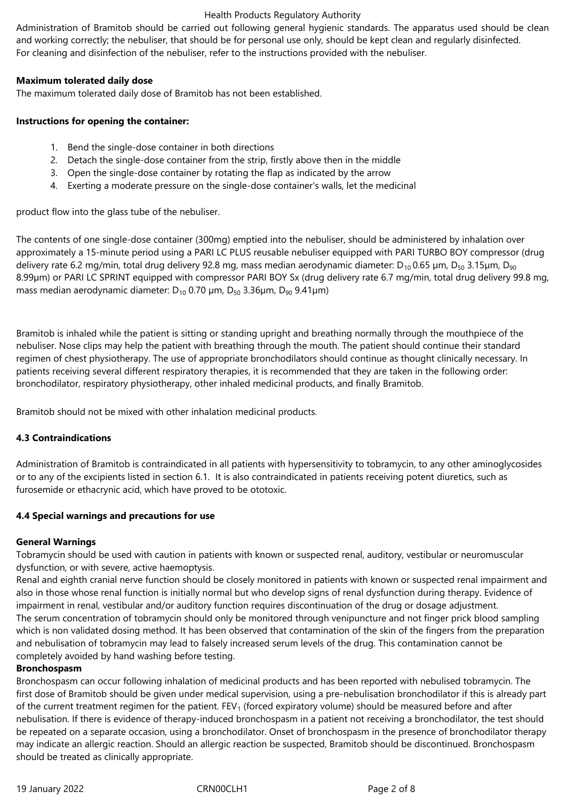Administration of Bramitob should be carried out following general hygienic standards. The apparatus used should be clean and working correctly; the nebuliser, that should be for personal use only, should be kept clean and regularly disinfected. For cleaning and disinfection of the nebuliser, refer to the instructions provided with the nebuliser.

#### **Maximum tolerated daily dose**

The maximum tolerated daily dose of Bramitob has not been established.

## **Instructions for opening the container:**

- 1. Bend the single-dose container in both directions
- 2. Detach the single-dose container from the strip, firstly above then in the middle
- 3. Open the single-dose container by rotating the flap as indicated by the arrow
- 4. Exerting a moderate pressure on the single-dose container's walls, let the medicinal

product flow into the glass tube of the nebuliser.

The contents of one single-dose container (300mg) emptied into the nebuliser, should be administered by inhalation over approximately a 15-minute period using a PARI LC PLUS reusable nebuliser equipped with PARI TURBO BOY compressor (drug delivery rate 6.2 mg/min, total drug delivery 92.8 mg, mass median aerodynamic diameter: D<sub>10</sub> 0.65 µm, D<sub>50</sub> 3.15µm, D<sub>90</sub> 8.99µm) or PARI LC SPRINT equipped with compressor PARI BOY Sx (drug delivery rate 6.7 mg/min, total drug delivery 99.8 mg, mass median aerodynamic diameter:  $D_{10}$  0.70  $\mu$ m,  $D_{50}$  3.36 $\mu$ m,  $D_{90}$  9.41 $\mu$ m)

Bramitob is inhaled while the patient is sitting or standing upright and breathing normally through the mouthpiece of the nebuliser. Nose clips may help the patient with breathing through the mouth. The patient should continue their standard regimen of chest physiotherapy. The use of appropriate bronchodilators should continue as thought clinically necessary. In patients receiving several different respiratory therapies, it is recommended that they are taken in the following order: bronchodilator, respiratory physiotherapy, other inhaled medicinal products, and finally Bramitob.

Bramitob should not be mixed with other inhalation medicinal products.

## **4.3 Contraindications**

Administration of Bramitob is contraindicated in all patients with hypersensitivity to tobramycin, to any other aminoglycosides or to any of the excipients listed in section 6.1. It is also contraindicated in patients receiving potent diuretics, such as furosemide or ethacrynic acid, which have proved to be ototoxic.

## **4.4 Special warnings and precautions for use**

## **General Warnings**

Tobramycin should be used with caution in patients with known or suspected renal, auditory, vestibular or neuromuscular dysfunction, or with severe, active haemoptysis.

Renal and eighth cranial nerve function should be closely monitored in patients with known or suspected renal impairment and also in those whose renal function is initially normal but who develop signs of renal dysfunction during therapy. Evidence of impairment in renal, vestibular and/or auditory function requires discontinuation of the drug or dosage adjustment. The serum concentration of tobramycin should only be monitored through venipuncture and not finger prick blood sampling which is non validated dosing method. It has been observed that contamination of the skin of the fingers from the preparation and nebulisation of tobramycin may lead to falsely increased serum levels of the drug. This contamination cannot be completely avoided by hand washing before testing.

#### **Bronchospasm**

Bronchospasm can occur following inhalation of medicinal products and has been reported with nebulised tobramycin. The first dose of Bramitob should be given under medical supervision, using a pre-nebulisation bronchodilator if this is already part of the current treatment regimen for the patient.  $FEV<sub>1</sub>$  (forced expiratory volume) should be measured before and after nebulisation. If there is evidence of therapy-induced bronchospasm in a patient not receiving a bronchodilator, the test should be repeated on a separate occasion, using a bronchodilator. Onset of bronchospasm in the presence of bronchodilator therapy may indicate an allergic reaction. Should an allergic reaction be suspected, Bramitob should be discontinued. Bronchospasm should be treated as clinically appropriate.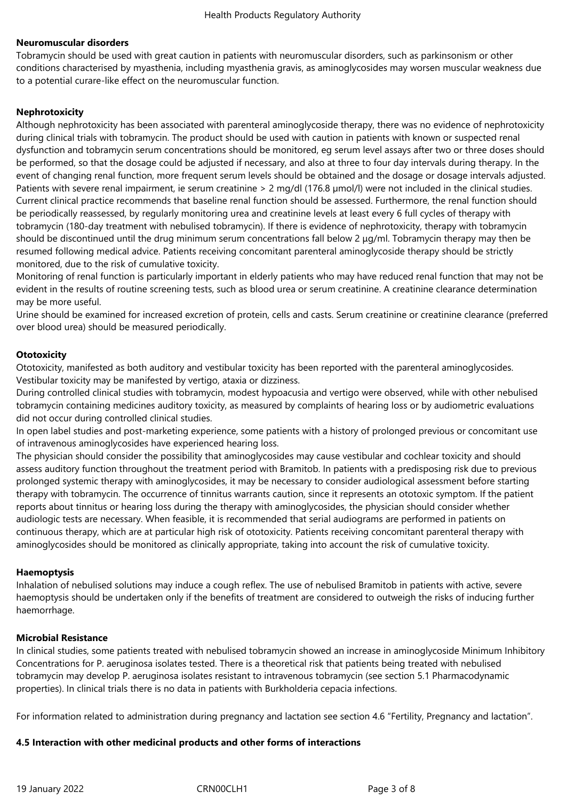## **Neuromuscular disorders**

Tobramycin should be used with great caution in patients with neuromuscular disorders, such as parkinsonism or other conditions characterised by myasthenia, including myasthenia gravis, as aminoglycosides may worsen muscular weakness due to a potential curare-like effect on the neuromuscular function.

## **Nephrotoxicity**

Although nephrotoxicity has been associated with parenteral aminoglycoside therapy, there was no evidence of nephrotoxicity during clinical trials with tobramycin. The product should be used with caution in patients with known or suspected renal dysfunction and tobramycin serum concentrations should be monitored, eg serum level assays after two or three doses should be performed, so that the dosage could be adjusted if necessary, and also at three to four day intervals during therapy. In the event of changing renal function, more frequent serum levels should be obtained and the dosage or dosage intervals adjusted. Patients with severe renal impairment, ie serum creatinine > 2 mg/dl (176.8 µmol/l) were not included in the clinical studies. Current clinical practice recommends that baseline renal function should be assessed. Furthermore, the renal function should be periodically reassessed, by regularly monitoring urea and creatinine levels at least every 6 full cycles of therapy with tobramycin (180-day treatment with nebulised tobramycin). If there is evidence of nephrotoxicity, therapy with tobramycin should be discontinued until the drug minimum serum concentrations fall below 2 μg/ml. Tobramycin therapy may then be resumed following medical advice. Patients receiving concomitant parenteral aminoglycoside therapy should be strictly monitored, due to the risk of cumulative toxicity.

Monitoring of renal function is particularly important in elderly patients who may have reduced renal function that may not be evident in the results of routine screening tests, such as blood urea or serum creatinine. A creatinine clearance determination may be more useful.

Urine should be examined for increased excretion of protein, cells and casts. Serum creatinine or creatinine clearance (preferred over blood urea) should be measured periodically.

## **Ototoxicity**

Ototoxicity, manifested as both auditory and vestibular toxicity has been reported with the parenteral aminoglycosides. Vestibular toxicity may be manifested by vertigo, ataxia or dizziness.

During controlled clinical studies with tobramycin, modest hypoacusia and vertigo were observed, while with other nebulised tobramycin containing medicines auditory toxicity, as measured by complaints of hearing loss or by audiometric evaluations did not occur during controlled clinical studies.

In open label studies and post-marketing experience, some patients with a history of prolonged previous or concomitant use of intravenous aminoglycosides have experienced hearing loss.

The physician should consider the possibility that aminoglycosides may cause vestibular and cochlear toxicity and should assess auditory function throughout the treatment period with Bramitob. In patients with a predisposing risk due to previous prolonged systemic therapy with aminoglycosides, it may be necessary to consider audiological assessment before starting therapy with tobramycin. The occurrence of tinnitus warrants caution, since it represents an ototoxic symptom. If the patient reports about tinnitus or hearing loss during the therapy with aminoglycosides, the physician should consider whether audiologic tests are necessary. When feasible, it is recommended that serial audiograms are performed in patients on continuous therapy, which are at particular high risk of ototoxicity. Patients receiving concomitant parenteral therapy with aminoglycosides should be monitored as clinically appropriate, taking into account the risk of cumulative toxicity.

#### **Haemoptysis**

Inhalation of nebulised solutions may induce a cough reflex. The use of nebulised Bramitob in patients with active, severe haemoptysis should be undertaken only if the benefits of treatment are considered to outweigh the risks of inducing further haemorrhage.

#### **Microbial Resistance**

In clinical studies, some patients treated with nebulised tobramycin showed an increase in aminoglycoside Minimum Inhibitory Concentrations for P. aeruginosa isolates tested. There is a theoretical risk that patients being treated with nebulised tobramycin may develop P. aeruginosa isolates resistant to intravenous tobramycin (see section 5.1 Pharmacodynamic properties). In clinical trials there is no data in patients with Burkholderia cepacia infections.

For information related to administration during pregnancy and lactation see section 4.6 "Fertility, Pregnancy and lactation".

#### **4.5 Interaction with other medicinal products and other forms of interactions**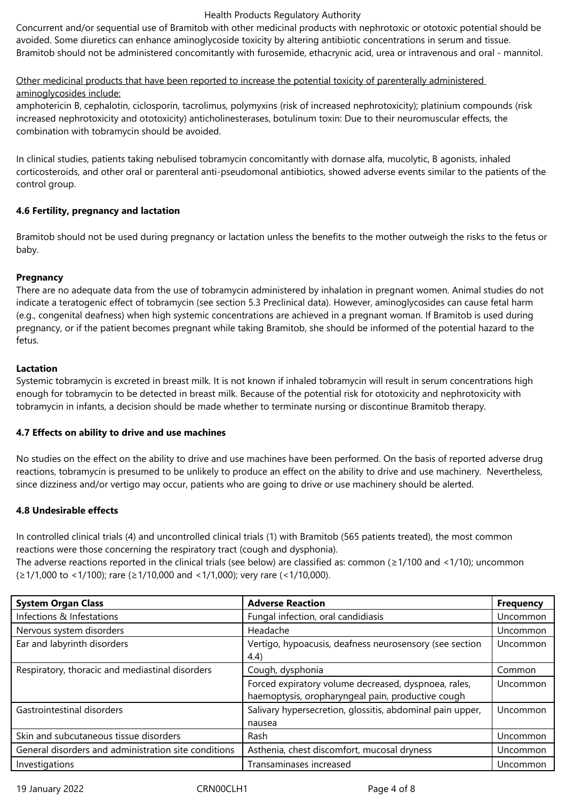Concurrent and/or sequential use of Bramitob with other medicinal products with nephrotoxic or ototoxic potential should be avoided. Some diuretics can enhance aminoglycoside toxicity by altering antibiotic concentrations in serum and tissue. Bramitob should not be administered concomitantly with furosemide, ethacrynic acid, urea or intravenous and oral - mannitol.

## Other medicinal products that have been reported to increase the potential toxicity of parenterally administered aminoglycosides include:

amphotericin B, cephalotin, ciclosporin, tacrolimus, polymyxins (risk of increased nephrotoxicity); platinium compounds (risk increased nephrotoxicity and ototoxicity) anticholinesterases, botulinum toxin: Due to their neuromuscular effects, the combination with tobramycin should be avoided.

In clinical studies, patients taking nebulised tobramycin concomitantly with dornase alfa, mucolytic, B agonists, inhaled corticosteroids, and other oral or parenteral anti-pseudomonal antibiotics, showed adverse events similar to the patients of the control group.

## **4.6 Fertility, pregnancy and lactation**

Bramitob should not be used during pregnancy or lactation unless the benefits to the mother outweigh the risks to the fetus or baby.

## **Pregnancy**

There are no adequate data from the use of tobramycin administered by inhalation in pregnant women. Animal studies do not indicate a teratogenic effect of tobramycin (see section 5.3 Preclinical data). However, aminoglycosides can cause fetal harm (e.g., congenital deafness) when high systemic concentrations are achieved in a pregnant woman. If Bramitob is used during pregnancy, or if the patient becomes pregnant while taking Bramitob, she should be informed of the potential hazard to the fetus.

## **Lactation**

Systemic tobramycin is excreted in breast milk. It is not known if inhaled tobramycin will result in serum concentrations high enough for tobramycin to be detected in breast milk. Because of the potential risk for ototoxicity and nephrotoxicity with tobramycin in infants, a decision should be made whether to terminate nursing or discontinue Bramitob therapy.

## **4.7 Effects on ability to drive and use machines**

No studies on the effect on the ability to drive and use machines have been performed. On the basis of reported adverse drug reactions, tobramycin is presumed to be unlikely to produce an effect on the ability to drive and use machinery. Nevertheless, since dizziness and/or vertigo may occur, patients who are going to drive or use machinery should be alerted.

## **4.8 Undesirable effects**

In controlled clinical trials (4) and uncontrolled clinical trials (1) with Bramitob (565 patients treated), the most common reactions were those concerning the respiratory tract (cough and dysphonia).

The adverse reactions reported in the clinical trials (see below) are classified as: common ( $\geq 1/100$  and <1/10); uncommon (≥1/1,000 to <1/100); rare (≥1/10,000 and <1/1,000); very rare (<1/10,000).

| <b>System Organ Class</b>                            | <b>Adverse Reaction</b>                                                                                   | <b>Frequency</b> |
|------------------------------------------------------|-----------------------------------------------------------------------------------------------------------|------------------|
| Infections & Infestations                            | Fungal infection, oral candidiasis                                                                        | Uncommon         |
| Nervous system disorders                             | Headache                                                                                                  | Uncommon         |
| Ear and labyrinth disorders                          | Vertigo, hypoacusis, deafness neurosensory (see section<br>(4.4)                                          | Uncommon         |
| Respiratory, thoracic and mediastinal disorders      | Cough, dysphonia                                                                                          | Common           |
|                                                      | Forced expiratory volume decreased, dyspnoea, rales,<br>haemoptysis, oropharyngeal pain, productive cough | Uncommon         |
| Gastrointestinal disorders                           | Salivary hypersecretion, glossitis, abdominal pain upper,<br>nausea                                       | Uncommon         |
| Skin and subcutaneous tissue disorders               | Rash                                                                                                      | Uncommon         |
| General disorders and administration site conditions | Asthenia, chest discomfort, mucosal dryness                                                               | Uncommon         |
| Investigations                                       | Transaminases increased                                                                                   | Uncommon         |

19 January 2022 CRN00CLH1 Page 4 of 8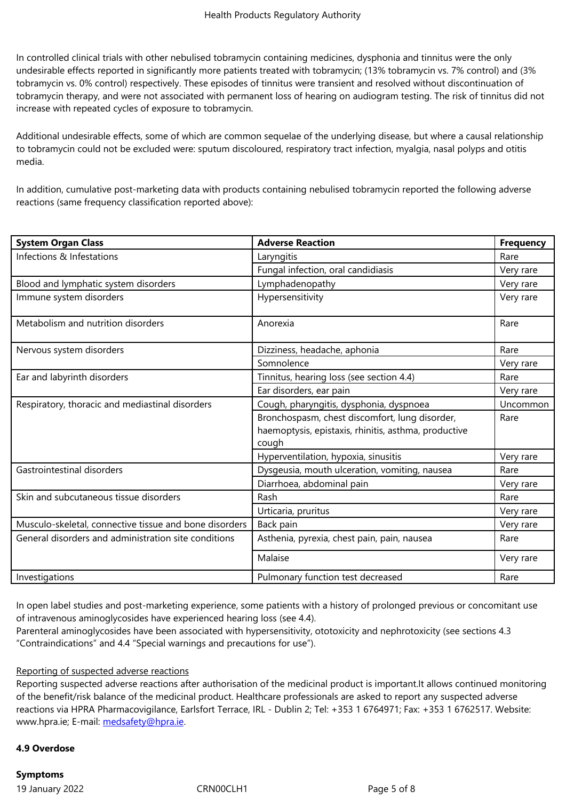In controlled clinical trials with other nebulised tobramycin containing medicines, dysphonia and tinnitus were the only undesirable effects reported in significantly more patients treated with tobramycin; (13% tobramycin vs. 7% control) and (3% tobramycin vs. 0% control) respectively. These episodes of tinnitus were transient and resolved without discontinuation of tobramycin therapy, and were not associated with permanent loss of hearing on audiogram testing. The risk of tinnitus did not increase with repeated cycles of exposure to tobramycin.

Additional undesirable effects, some of which are common sequelae of the underlying disease, but where a causal relationship to tobramycin could not be excluded were: sputum discoloured, respiratory tract infection, myalgia, nasal polyps and otitis media.

In addition, cumulative post-marketing data with products containing nebulised tobramycin reported the following adverse reactions (same frequency classification reported above):

| <b>System Organ Class</b>                              | <b>Adverse Reaction</b>                                                                                         | <b>Frequency</b> |
|--------------------------------------------------------|-----------------------------------------------------------------------------------------------------------------|------------------|
| Infections & Infestations                              | Laryngitis                                                                                                      | Rare             |
|                                                        | Fungal infection, oral candidiasis                                                                              | Very rare        |
| Blood and lymphatic system disorders                   | Lymphadenopathy                                                                                                 | Very rare        |
| Immune system disorders                                | Hypersensitivity                                                                                                | Very rare        |
| Metabolism and nutrition disorders                     | Anorexia                                                                                                        | Rare             |
| Nervous system disorders                               | Dizziness, headache, aphonia                                                                                    | Rare             |
|                                                        | Somnolence                                                                                                      | Very rare        |
| Ear and labyrinth disorders                            | Tinnitus, hearing loss (see section 4.4)                                                                        | Rare             |
|                                                        | Ear disorders, ear pain                                                                                         | Very rare        |
| Respiratory, thoracic and mediastinal disorders        | Cough, pharyngitis, dysphonia, dyspnoea                                                                         | Uncommon         |
|                                                        | Bronchospasm, chest discomfort, lung disorder,<br>haemoptysis, epistaxis, rhinitis, asthma, productive<br>cough | Rare             |
|                                                        | Hyperventilation, hypoxia, sinusitis                                                                            | Very rare        |
| Gastrointestinal disorders                             | Dysgeusia, mouth ulceration, vomiting, nausea                                                                   | Rare             |
|                                                        | Diarrhoea, abdominal pain                                                                                       | Very rare        |
| Skin and subcutaneous tissue disorders                 | Rash                                                                                                            | Rare             |
|                                                        | Urticaria, pruritus                                                                                             | Very rare        |
| Musculo-skeletal, connective tissue and bone disorders | Back pain                                                                                                       | Very rare        |
| General disorders and administration site conditions   | Asthenia, pyrexia, chest pain, pain, nausea                                                                     | Rare             |
|                                                        | Malaise                                                                                                         | Very rare        |
| Investigations                                         | Pulmonary function test decreased                                                                               | Rare             |

In open label studies and post-marketing experience, some patients with a history of prolonged previous or concomitant use of intravenous aminoglycosides have experienced hearing loss (see 4.4).

Parenteral aminoglycosides have been associated with hypersensitivity, ototoxicity and nephrotoxicity (see sections 4.3 "Contraindications" and 4.4 "Special warnings and precautions for use").

#### Reporting of suspected adverse reactions

Reporting suspected adverse reactions after authorisation of the medicinal product is important.It allows continued monitoring of the benefit/risk balance of the medicinal product. Healthcare professionals are asked to report any suspected adverse reactions via HPRA Pharmacovigilance, Earlsfort Terrace, IRL - Dublin 2; Tel: +353 1 6764971; Fax: +353 1 6762517. Website: www.hpra.ie; E-mail: medsafety@hpra.ie.

#### **4.9 Overdose**

**Symptoms**

19 January 2022 CRN00CLH1 Page 5 of 8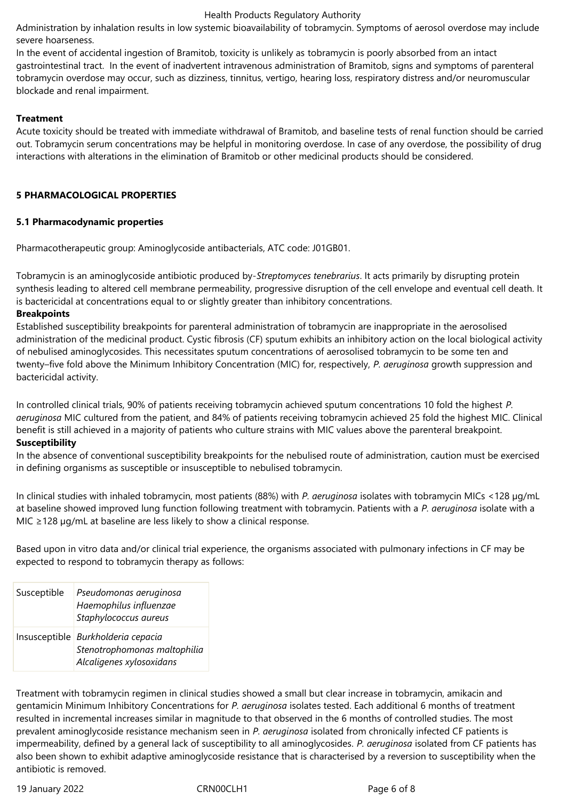Administration by inhalation results in low systemic bioavailability of tobramycin. Symptoms of aerosol overdose may include severe hoarseness.

In the event of accidental ingestion of Bramitob, toxicity is unlikely as tobramycin is poorly absorbed from an intact gastrointestinal tract. In the event of inadvertent intravenous administration of Bramitob, signs and symptoms of parenteral tobramycin overdose may occur, such as dizziness, tinnitus, vertigo, hearing loss, respiratory distress and/or neuromuscular blockade and renal impairment.

## **Treatment**

Acute toxicity should be treated with immediate withdrawal of Bramitob, and baseline tests of renal function should be carried out. Tobramycin serum concentrations may be helpful in monitoring overdose. In case of any overdose, the possibility of drug interactions with alterations in the elimination of Bramitob or other medicinal products should be considered.

## **5 PHARMACOLOGICAL PROPERTIES**

## **5.1 Pharmacodynamic properties**

Pharmacotherapeutic group: Aminoglycoside antibacterials, ATC code: J01GB01.

Tobramycin is an aminoglycoside antibiotic produced by-*Streptomyces tenebrarius*. It acts primarily by disrupting protein synthesis leading to altered cell membrane permeability, progressive disruption of the cell envelope and eventual cell death. It is bactericidal at concentrations equal to or slightly greater than inhibitory concentrations.

## **Breakpoints**

Established susceptibility breakpoints for parenteral administration of tobramycin are inappropriate in the aerosolised administration of the medicinal product. Cystic fibrosis (CF) sputum exhibits an inhibitory action on the local biological activity of nebulised aminoglycosides. This necessitates sputum concentrations of aerosolised tobramycin to be some ten and twenty–five fold above the Minimum Inhibitory Concentration (MIC) for, respectively, *P. aeruginosa* growth suppression and bactericidal activity.

In controlled clinical trials, 90% of patients receiving tobramycin achieved sputum concentrations 10 fold the highest *P. aeruginosa* MIC cultured from the patient, and 84% of patients receiving tobramycin achieved 25 fold the highest MIC. Clinical benefit is still achieved in a majority of patients who culture strains with MIC values above the parenteral breakpoint. **Susceptibility**

In the absence of conventional susceptibility breakpoints for the nebulised route of administration, caution must be exercised in defining organisms as susceptible or insusceptible to nebulised tobramycin.

In clinical studies with inhaled tobramycin, most patients (88%) with *P. aeruginosa* isolates with tobramycin MICs <128 µg/mL at baseline showed improved lung function following treatment with tobramycin. Patients with a *P. aeruginosa* isolate with a MIC ≥128 µg/mL at baseline are less likely to show a clinical response.

Based upon in vitro data and/or clinical trial experience, the organisms associated with pulmonary infections in CF may be expected to respond to tobramycin therapy as follows:

| Susceptible | Pseudomonas aeruginosa<br>Haemophilus influenzae<br>Staphylococcus aureus                      |
|-------------|------------------------------------------------------------------------------------------------|
|             | Insusceptible Burkholderia cepacia<br>Stenotrophomonas maltophilia<br>Alcaligenes xylosoxidans |

Treatment with tobramycin regimen in clinical studies showed a small but clear increase in tobramycin, amikacin and gentamicin Minimum Inhibitory Concentrations for *P. aeruginosa* isolates tested. Each additional 6 months of treatment resulted in incremental increases similar in magnitude to that observed in the 6 months of controlled studies. The most prevalent aminoglycoside resistance mechanism seen in *P. aeruginosa* isolated from chronically infected CF patients is impermeability, defined by a general lack of susceptibility to all aminoglycosides. *P. aeruginosa* isolated from CF patients has also been shown to exhibit adaptive aminoglycoside resistance that is characterised by a reversion to susceptibility when the antibiotic is removed.

19 January 2022 CRN00CLH1 Page 6 of 8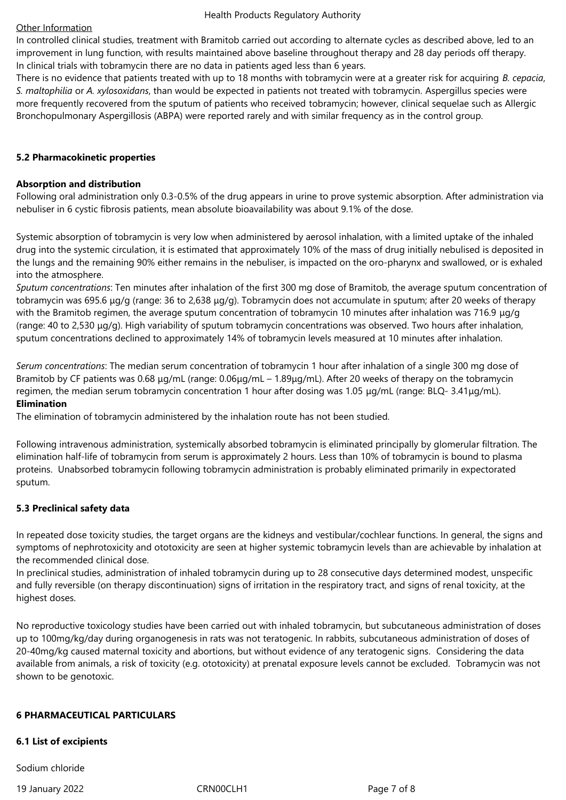#### Other Information

In controlled clinical studies, treatment with Bramitob carried out according to alternate cycles as described above, led to an improvement in lung function, with results maintained above baseline throughout therapy and 28 day periods off therapy. In clinical trials with tobramycin there are no data in patients aged less than 6 years.

There is no evidence that patients treated with up to 18 months with tobramycin were at a greater risk for acquiring *B. cepacia*, *S. maltophilia* or *A. xylosoxidans*, than would be expected in patients not treated with tobramycin. Aspergillus species were more frequently recovered from the sputum of patients who received tobramycin; however, clinical sequelae such as Allergic Bronchopulmonary Aspergillosis (ABPA) were reported rarely and with similar frequency as in the control group.

## **5.2 Pharmacokinetic properties**

#### **Absorption and distribution**

Following oral administration only 0.3-0.5% of the drug appears in urine to prove systemic absorption. After administration via nebuliser in 6 cystic fibrosis patients, mean absolute bioavailability was about 9.1% of the dose.

Systemic absorption of tobramycin is very low when administered by aerosol inhalation, with a limited uptake of the inhaled drug into the systemic circulation, it is estimated that approximately 10% of the mass of drug initially nebulised is deposited in the lungs and the remaining 90% either remains in the nebuliser, is impacted on the oro-pharynx and swallowed, or is exhaled into the atmosphere.

*Sputum concentrations*: Ten minutes after inhalation of the first 300 mg dose of Bramitob, the average sputum concentration of tobramycin was 695.6 μg/g (range: 36 to 2,638 μg/g). Tobramycin does not accumulate in sputum; after 20 weeks of therapy with the Bramitob regimen, the average sputum concentration of tobramycin 10 minutes after inhalation was 716.9 μg/g (range: 40 to 2,530 μg/g). High variability of sputum tobramycin concentrations was observed. Two hours after inhalation, sputum concentrations declined to approximately 14% of tobramycin levels measured at 10 minutes after inhalation.

*Serum concentrations*: The median serum concentration of tobramycin 1 hour after inhalation of a single 300 mg dose of Bramitob by CF patients was 0.68 μg/mL (range: 0.06μg/mL – 1.89μg/mL). After 20 weeks of therapy on the tobramycin regimen, the median serum tobramycin concentration 1 hour after dosing was 1.05 μg/mL (range: BLQ- 3.41μg/mL). **Elimination**

The elimination of tobramycin administered by the inhalation route has not been studied.

Following intravenous administration, systemically absorbed tobramycin is eliminated principally by glomerular filtration. The elimination half-life of tobramycin from serum is approximately 2 hours. Less than 10% of tobramycin is bound to plasma proteins. Unabsorbed tobramycin following tobramycin administration is probably eliminated primarily in expectorated sputum.

## **5.3 Preclinical safety data**

In repeated dose toxicity studies, the target organs are the kidneys and vestibular/cochlear functions. In general, the signs and symptoms of nephrotoxicity and ototoxicity are seen at higher systemic tobramycin levels than are achievable by inhalation at the recommended clinical dose.

In preclinical studies, administration of inhaled tobramycin during up to 28 consecutive days determined modest, unspecific and fully reversible (on therapy discontinuation) signs of irritation in the respiratory tract, and signs of renal toxicity, at the highest doses.

No reproductive toxicology studies have been carried out with inhaled tobramycin, but subcutaneous administration of doses up to 100mg/kg/day during organogenesis in rats was not teratogenic. In rabbits, subcutaneous administration of doses of 20-40mg/kg caused maternal toxicity and abortions, but without evidence of any teratogenic signs. Considering the data available from animals, a risk of toxicity (e.g. ototoxicity) at prenatal exposure levels cannot be excluded. Tobramycin was not shown to be genotoxic.

#### **6 PHARMACEUTICAL PARTICULARS**

#### **6.1 List of excipients**

Sodium chloride

19 January 2022 CRN00CLH1 Page 7 of 8